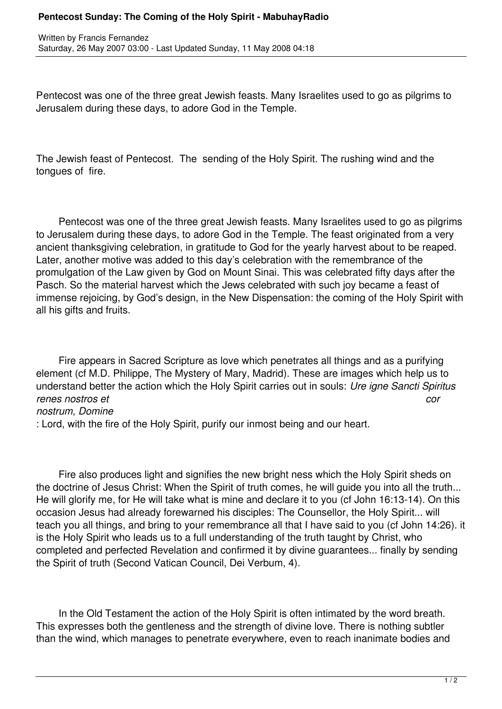## **Pentecost Sunday: The Coming of the Holy Spirit - MabuhayRadio**

Pentecost was one of the three great Jewish feasts. Many Israelites used to go as pilgrims to Jerusalem during these days, to adore God in the Temple.

The Jewish feast of Pentecost. The sending of the Holy Spirit. The rushing wind and the tongues of fire.

 Pentecost was one of the three great Jewish feasts. Many Israelites used to go as pilgrims to Jerusalem during these days, to adore God in the Temple. The feast originated from a very ancient thanksgiving celebration, in gratitude to God for the yearly harvest about to be reaped. Later, another motive was added to this day's celebration with the remembrance of the promulgation of the Law given by God on Mount Sinai. This was celebrated fifty days after the Pasch. So the material harvest which the Jews celebrated with such joy became a feast of immense rejoicing, by God's design, in the New Dispensation: the coming of the Holy Spirit with all his gifts and fruits.

 Fire appears in Sacred Scripture as love which penetrates all things and as a purifying element (cf M.D. Philippe, The Mystery of Mary, Madrid). These are images which help us to understand better the action which the Holy Spirit carries out in souls: *Ure igne Sancti Spiritus renes nostros et cor nostrum, Domine*

: Lord, with the fire of the Holy Spirit, purify our inmost being and our heart.

 Fire also produces light and signifies the new bright ness which the Holy Spirit sheds on the doctrine of Jesus Christ: When the Spirit of truth comes, he will guide you into all the truth... He will glorify me, for He will take what is mine and declare it to you (cf John 16:13-14). On this occasion Jesus had already forewarned his disciples: The Counsellor, the Holy Spirit... will teach you all things, and bring to your remembrance all that I have said to you (cf John 14:26). it is the Holy Spirit who leads us to a full understanding of the truth taught by Christ, who completed and perfected Revelation and confirmed it by divine guarantees... finally by sending the Spirit of truth (Second Vatican Council, Dei Verbum, 4).

 In the Old Testament the action of the Holy Spirit is often intimated by the word breath. This expresses both the gentleness and the strength of divine love. There is nothing subtler than the wind, which manages to penetrate everywhere, even to reach inanimate bodies and